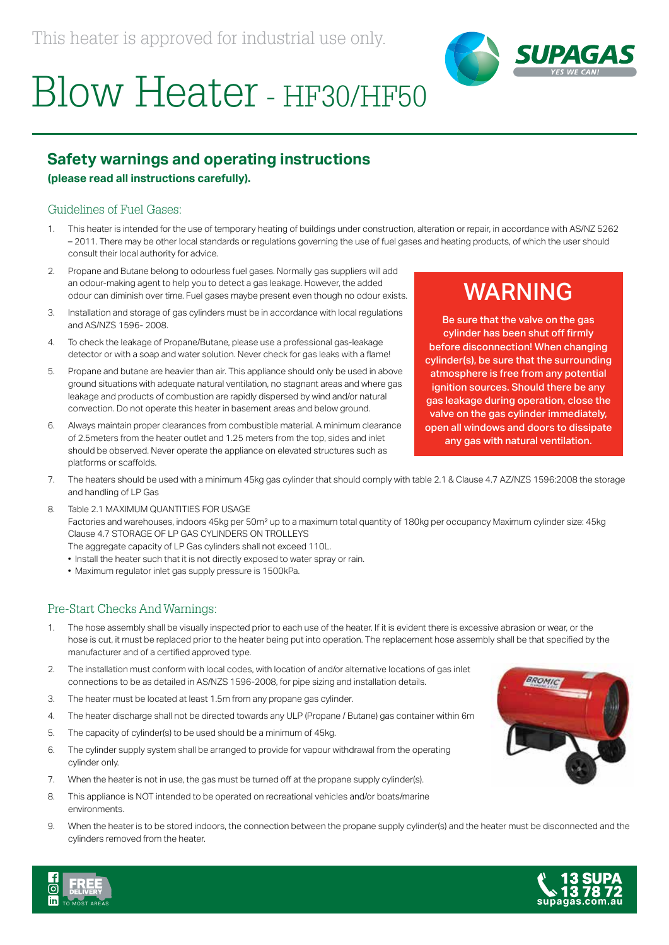

# Blow Heater - HF30/HF50

## **Safety warnings and operating instructions**

### **(please read all instructions carefully).**

### Guidelines of Fuel Gases:

- 1. This heater is intended for the use of temporary heating of buildings under construction, alteration or repair, in accordance with AS/NZ 5262 – 2011. There may be other local standards or regulations governing the use of fuel gases and heating products, of which the user should consult their local authority for advice.
- 2. Propane and Butane belong to odourless fuel gases. Normally gas suppliers will add an odour-making agent to help you to detect a gas leakage. However, the added odour can diminish over time. Fuel gases maybe present even though no odour exists.
- 3. Installation and storage of gas cylinders must be in accordance with local regulations and AS/NZS 1596- 2008.
- 4. To check the leakage of Propane/Butane, please use a professional gas-leakage detector or with a soap and water solution. Never check for gas leaks with a flame!
- 5. Propane and butane are heavier than air. This appliance should only be used in above ground situations with adequate natural ventilation, no stagnant areas and where gas leakage and products of combustion are rapidly dispersed by wind and/or natural convection. Do not operate this heater in basement areas and below ground.
- 6. Always maintain proper clearances from combustible material. A minimum clearance of 2.5meters from the heater outlet and 1.25 meters from the top, sides and inlet should be observed. Never operate the appliance on elevated structures such as platforms or scaffolds.

# WARNING

Be sure that the valve on the gas cylinder has been shut off firmly before disconnection! When changing cylinder(s), be sure that the surrounding atmosphere is free from any potential ignition sources. Should there be any gas leakage during operation, close the valve on the gas cylinder immediately, open all windows and doors to dissipate any gas with natural ventilation.

- 7. The heaters should be used with a minimum 45kg gas cylinder that should comply with table 2.1 & Clause 4.7 AZ/NZS 1596:2008 the storage and handling of LP Gas
- 8. Table 2.1 MAXIMUM QUANTITIES FOR USAGE Factories and warehouses, indoors 45kg per 50m² up to a maximum total quantity of 180kg per occupancy Maximum cylinder size: 45kg Clause 4.7 STORAGE OF LP GAS CYLINDERS ON TROLLEYS The aggregate capacity of LP Gas cylinders shall not exceed 110L.
	- Install the heater such that it is not directly exposed to water spray or rain.
	- Maximum regulator inlet gas supply pressure is 1500kPa.

### Pre-Start Checks And Warnings:

- 1. The hose assembly shall be visually inspected prior to each use of the heater. If it is evident there is excessive abrasion or wear, or the hose is cut, it must be replaced prior to the heater being put into operation. The replacement hose assembly shall be that specified by the manufacturer and of a certified approved type.
- 2. The installation must conform with local codes, with location of and/or alternative locations of gas inlet connections to be as detailed in AS/NZS 1596-2008, for pipe sizing and installation details.
- 3. The heater must be located at least 1.5m from any propane gas cylinder.
- 4. The heater discharge shall not be directed towards any ULP (Propane / Butane) gas container within 6m
- 5. The capacity of cylinder(s) to be used should be a minimum of 45kg.
- 6. The cylinder supply system shall be arranged to provide for vapour withdrawal from the operating cylinder only.
- 7. When the heater is not in use, the gas must be turned off at the propane supply cylinder(s).
- 8. This appliance is NOT intended to be operated on recreational vehicles and/or boats/marine environments.
- 9. When the heater is to be stored indoors, the connection between the propane supply cylinder(s) and the heater must be disconnected and the cylinders removed from the heater.